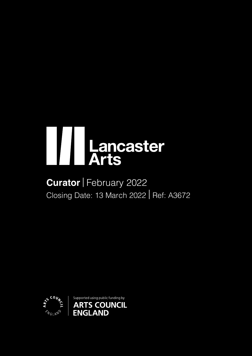# **Lancaster**<br>Arts

## **Curator** | February 2022 Closing Date: 13 March 2022 | Ref: A3672

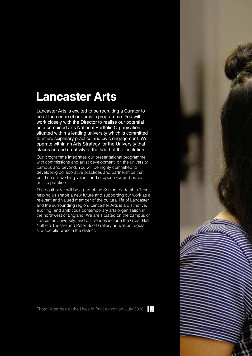## **Lancaster Arts**

Lancaster Arts is excited to be recruiting a Curator to be at the centre of our artistic programme. You will work closely with the Director to realise our potential as a combined arts National Portfolio Organisation, situated within a leading university which is committed to interdisciplinary practice and civic engagement. We operate within an Arts Strategy for the University that places art and creativity at the heart of the institution.

Our programme integrates our presentational programme with commissions and artist development, on the university campus and beyond. You will be highly committed to developing collaborative practices and partnerships that build on our working values and support new and brave artistic practice.

The postholder will be a part of the Senior Leadership Team, helping us shape a new future and supporting our work as a relevant and valued member of the cultural life of Lancaster and the surrounding region. Lancaster Arts is a distinctive, exciting, and ambitious contemporary arts organisation in the northwest of England. We are situated on the campus of Lancaster University, and our venues include the Great Hall, Nuffield Theatre and Peter Scott Gallery as well as regular site-specific work in the district.



Photo: Attendee at the Lives in Print exhibition, July 2018ШI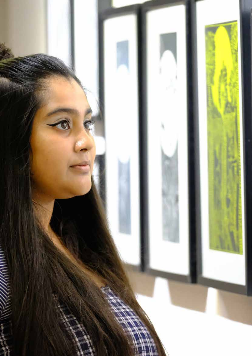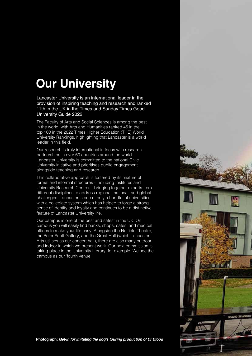# **Our University**

Lancaster University is an international leader in the provision of inspiring teaching and research and ranked 11th in the UK in the Times and Sunday Times Good University Guide 2022.

The Faculty of Arts and Social Sciences is among the best in the world, with Arts and Humanities ranked 45 in the top 100 in the 2022 Times Higher Education (THE) World University Rankings, highlighting that Lancaster is a world leader in this field.

Our research is truly international in focus with research partnerships in over 60 countries around the world. Lancaster University is committed to the national Civic University initiative and prioritises public engagement alongside teaching and research.

This collaborative approach is fostered by its mixture of formal and informal structures - including Institutes and University Research Centres - bringing together experts from different disciplines to address regional, national, and global challenges. Lancaster is one of only a handful of universities with a collegiate system which has helped to forge a strong sense of identity and loyalty and continues to be a distinctive feature of Lancaster University life.

Our campus is one of the best and safest in the UK. On campus you will easily find banks, shops, cafés, and medical offices to make your life easy. Alongside the Nuffield Theatre, the Peter Scott Gallery, and the Great Hall (which Lancaster Arts utilises as our concert hall), there are also many outdoor and indoor in which we present work. Our next commission is taking place in the University Library, for example. We see the campus as our 'fourth venue.'



**Photograph:** *Get-in for imitating the dog's touring production of Dr Blood*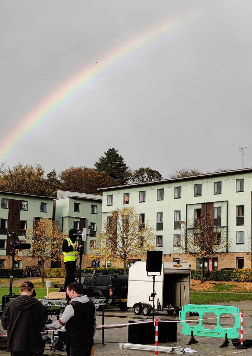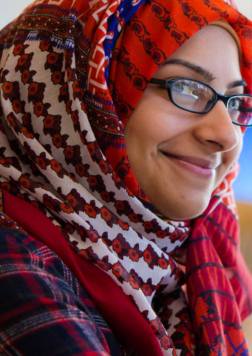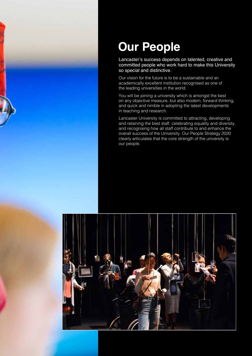

# **Our People**

Lancaster's success depends on talented, creative and committed people who work hard to make this University so special and distinctive.

Our vision for the future is to be a sustainable and an academically excellent institution recognised as one of the leading universities in the world.

You will be joining a university which is amongst the best on any objective measure, but also modern, forward thinking, and quick and nimble in adopting the latest developments in teaching and research.

Lancaster University is committed to attracting, developing and retaining the best staff, celebrating equality and diversity, and recognising how all staff contribute to and enhance the overall success of the University. Our People Strategy 2020 clearly articulates that the core strength of the university is our people.

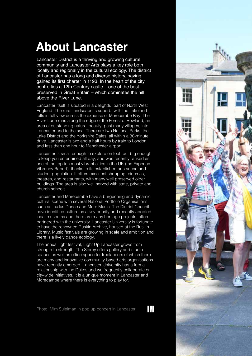# **About Lancaster**

Lancaster District is a thriving and growing cultural community and Lancaster Arts plays a key role both locally and regionally in the cultural ecology. The district of Lancaster has a long and diverse history, having gained its first charter in 1193. In the heart of the city centre lies a 12th Century castle – one of the best preserved in Great Britain – which dominates the hill above the River Lune.

Lancaster itself is situated in a delightful part of North West England. The rural landscape is superb, with the Lakeland fells in full view across the expanse of Morecambe Bay. The River Lune runs along the edge of the Forest of Bowland, an area of outstanding natural beauty, past many villages, into Lancaster and to the sea. There are two National Parks, the Lake District and the Yorkshire Dales, all within a 30-minute drive. Lancaster is two and a half hours by train to London and less than one hour to Manchester airport.

Lancaster is small enough to explore on foot, but big enough to keep you entertained all day, and was recently ranked as one of the top ten most vibrant cities in the UK (the Experian Vibrancy Report), thanks to its established arts scene and student population. It offers excellent shopping, cinemas, theatres, and restaurants, with many well preserved older buildings. The area is also well served with state, private and church schools.

Lancaster and Morecambe have a burgeoning and dynamic cultural scene with several National Portfolio Organisations such as Ludus Dance and More Music. The District Council have identified culture as a key priority and recently adopted local museums and there are many heritage projects, often partnered with the university. Lancaster University is fortunate to have the renowned Ruskin Archive, housed at the Ruskin Library. Music festivals are growing in scale and ambition and there is a lively dance ecology.

The annual light festival, Light Up Lancaster grows from strength to strength. The Storey offers gallery and studio spaces as well as office space for freelancers of which there are many and innovative community-based arts organisations have recently emerged. Lancaster University has a formal relationship with the Dukes and we frequently collaborate on city-wide initiatives. It is a unique moment in Lancaster and Morecambe where there is everything to play for.

Photo: Mim Suleiman in pop up concert in Lancaster



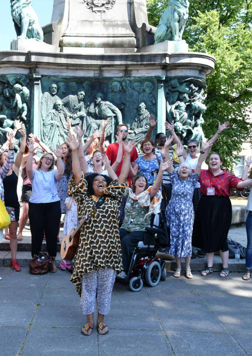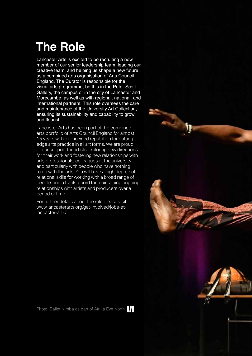# **The Role**

Lancaster Arts is excited to be recruiting a new member of our senior leadership team, leading our creative team, and helping us shape a new future as a combined arts organisation of Arts Council England. The Curator is responsible for the visual arts programme, be this in the Peter Scott Gallery, the campus or in the city of Lancaster and Morecambe, as well as with regional, national, and international partners. This role oversees the care and maintenance of the University Art Collection, ensuring its sustainability and capability to grow and flourish.

Lancaster Arts has been part of the combined arts portfolio of Arts Council England for almost 15 years with a renowned reputation for cutting edge arts practice in all art forms. We are proud of our support for artists exploring new directions for their work and fostering new relationships with arts professionals, colleagues at the university and particularly with people who have nothing to do with the arts. You will have a high degree of relational skills for working with a broad range of people, and a track record for maintaining ongoing relationships with artists and producers over a period of time.

For further details about the role please visit www.lancasterarts.org/get-involved/jobs-atlancaster-arts/

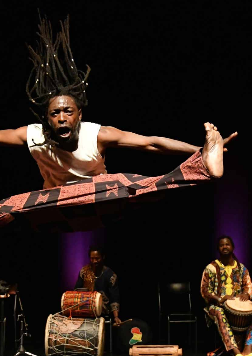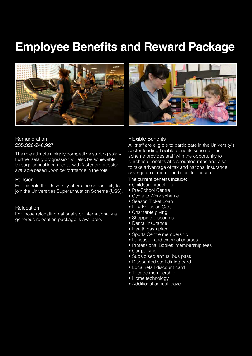## **Employee Benefits and Reward Package**





The role attracts a highly competitive starting salary. Further salary progression will also be achievable through annual increments, with faster progression available based upon performance in the role.

#### Pension

For this role the University offers the opportunity to join the Universities Superannuation Scheme (USS).

#### Relocation

For those relocating nationally or internationally a generous relocation package is available.



### Flexible Benefits

All staff are eligible to participate in the University's sector-leading flexible benefits scheme. The scheme provides staff with the opportunity to purchase benefits at discounted rates and also to take advantage of tax and national insurance savings on some of the benefits chosen.

#### The current benefits include:

- Childcare Vouchers
- Pre-School Centre
- Cycle to Work scheme
- Season Ticket Loan
- Low Emission Cars
- Charitable giving
- Shopping discounts
- Dental insurance
- Health cash plan
- Sports Centre membership
- Lancaster and external courses
- Professional Bodies' membership fees
- Car parking
- Subsidised annual bus pass
- Discounted staff dining card
- Local retail discount card
- Theatre membership
- Home technology
- Additional annual leave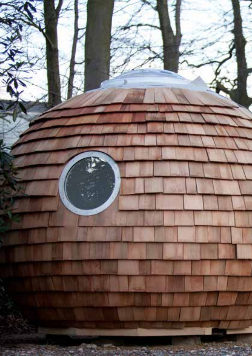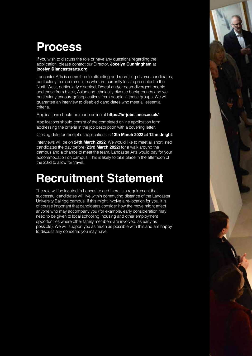# **Process**

If you wish to discuss the role or have any questions regarding the application, please contact our Director, **Jocelyn Cunningham** at **jocelyn@lancasterarts.org**

Lancaster Arts is committed to attracting and recruiting diverse candidates, particularly from communities who are currently less represented in the North West, particularly disabled, D/deaf and/or neurodivergent people and those from black, Asian and ethnically diverse backgrounds and we particularly encourage applications from people in these groups. We will guarantee an interview to disabled candidates who meet all essential criteria.

Applications should be made online at **https://hr-jobs.lancs.ac.uk/**

Applications should consist of the completed online application form addressing the criteria in the job description with a covering letter.

Closing date for receipt of applications is **13th March 2022 at 12 midnight**.

Interviews will be on **24th March 2022**. We would like to meet all shortlisted candidates the day before (**23rd March 2022**) for a walk around the campus and a chance to meet the team. Lancaster Arts would pay for your accommodation on campus. This is likely to take place in the afternoon of the 23rd to allow for travel.

# **Recruitment Statement**

The role will be located in Lancaster and there is a requirement that successful candidates will live within commuting distance of the Lancaster University Bailrigg campus. If this might involve a re-location for you, it is of course important that candidates consider how the move might affect anyone who may accompany you (for example, early consideration may need to be given to local schooling, housing and other employment opportunities where other family members are involved, as early as possible). We will support you as much as possible with this and are happy to discuss any concerns you may have.

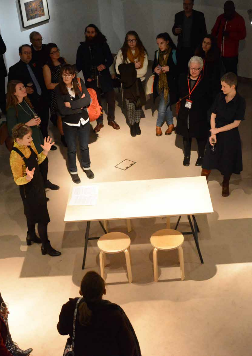